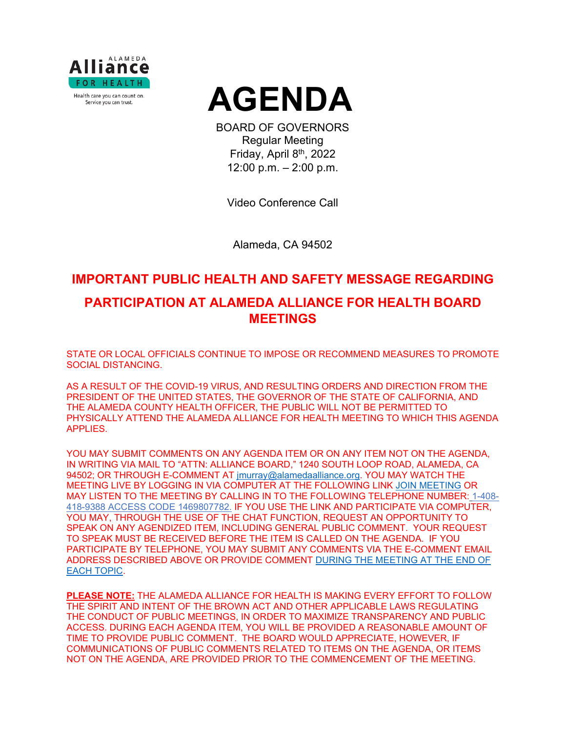



BOARD OF GOVERNORS Regular Meeting Friday, April 8th, 2022 12:00 p.m. – 2:00 p.m.

Video Conference Call

Alameda, CA 94502

# **IMPORTANT PUBLIC HEALTH AND SAFETY MESSAGE REGARDING**

## **PARTICIPATION AT ALAMEDA ALLIANCE FOR HEALTH BOARD MEETINGS**

STATE OR LOCAL OFFICIALS CONTINUE TO IMPOSE OR RECOMMEND MEASURES TO PROMOTE SOCIAL DISTANCING.

AS A RESULT OF THE COVID-19 VIRUS, AND RESULTING ORDERS AND DIRECTION FROM THE PRESIDENT OF THE UNITED STATES, THE GOVERNOR OF THE STATE OF CALIFORNIA, AND THE ALAMEDA COUNTY HEALTH OFFICER, THE PUBLIC WILL NOT BE PERMITTED TO PHYSICALLY ATTEND THE ALAMEDA ALLIANCE FOR HEALTH MEETING TO WHICH THIS AGENDA APPLIES.

YOU MAY SUBMIT COMMENTS ON ANY AGENDA ITEM OR ON ANY ITEM NOT ON THE AGENDA, IN WRITING VIA MAIL TO "ATTN: ALLIANCE BOARD," 1240 SOUTH LOOP ROAD, ALAMEDA, CA 94502; OR THROUGH E-COMMENT AT [jmurray@alamedaalliance.org.](mailto:jmurray@alamedaalliance.org) YOU MAY WATCH THE MEETING LIVE BY LOGGING IN VIA COMPUTER AT THE FOLLOWING LINK [JOIN MEETING](https://alamedaalliance.webex.com/alamedaalliance/j.php?MTID=m4fefbe72831c76b47303fd84ed522225) OR MAY LISTEN TO THE MEETING BY CALLING IN TO THE FOLLOWING TELEPHONE NUMBER: 1-408- 418-9388 ACCESS CODE 1469807782. IF YOU USE THE LINK AND PARTICIPATE VIA COMPUTER, YOU MAY, THROUGH THE USE OF THE CHAT FUNCTION, REQUEST AN OPPORTUNITY TO SPEAK ON ANY AGENDIZED ITEM, INCLUDING GENERAL PUBLIC COMMENT. YOUR REQUEST TO SPEAK MUST BE RECEIVED BEFORE THE ITEM IS CALLED ON THE AGENDA. IF YOU PARTICIPATE BY TELEPHONE, YOU MAY SUBMIT ANY COMMENTS VIA THE E-COMMENT EMAIL ADDRESS DESCRIBED ABOVE OR PROVIDE COMMENT DURING THE MEETING AT THE END OF EACH TOPIC.

**PLEASE NOTE:** THE ALAMEDA ALLIANCE FOR HEALTH IS MAKING EVERY EFFORT TO FOLLOW THE SPIRIT AND INTENT OF THE BROWN ACT AND OTHER APPLICABLE LAWS REGULATING THE CONDUCT OF PUBLIC MEETINGS, IN ORDER TO MAXIMIZE TRANSPARENCY AND PUBLIC ACCESS. DURING EACH AGENDA ITEM, YOU WILL BE PROVIDED A REASONABLE AMOUNT OF TIME TO PROVIDE PUBLIC COMMENT. THE BOARD WOULD APPRECIATE, HOWEVER, IF COMMUNICATIONS OF PUBLIC COMMENTS RELATED TO ITEMS ON THE AGENDA, OR ITEMS NOT ON THE AGENDA, ARE PROVIDED PRIOR TO THE COMMENCEMENT OF THE MEETING.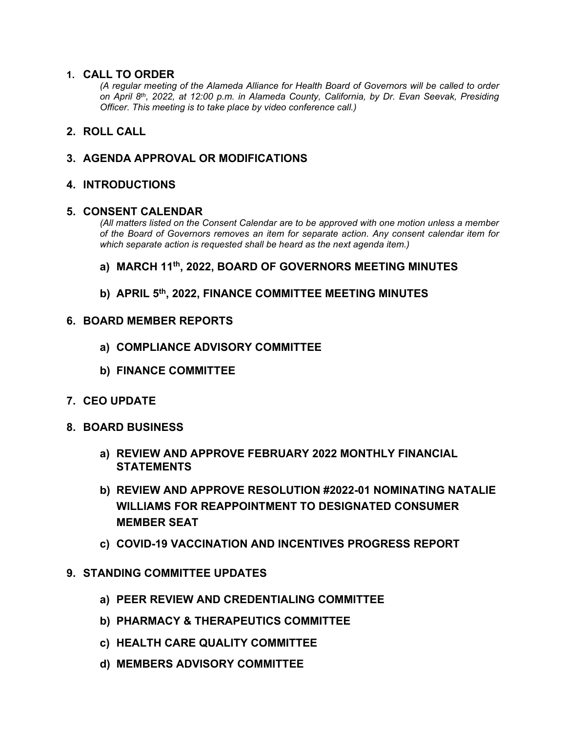#### **1. CALL TO ORDER**

*(A regular meeting of the Alameda Alliance for Health Board of Governors will be called to order on April 8th, 2022, at 12:00 p.m. in Alameda County, California, by Dr. Evan Seevak, Presiding Officer. This meeting is to take place by video conference call.)*

## **2. ROLL CALL**

## **3. AGENDA APPROVAL OR MODIFICATIONS**

#### **4. INTRODUCTIONS**

#### **5. CONSENT CALENDAR**

*(All matters listed on the Consent Calendar are to be approved with one motion unless a member of the Board of Governors removes an item for separate action. Any consent calendar item for which separate action is requested shall be heard as the next agenda item.)*

#### **a) MARCH 11th, 2022, BOARD OF GOVERNORS MEETING MINUTES**

#### **b) APRIL 5th, 2022, FINANCE COMMITTEE MEETING MINUTES**

#### **6. BOARD MEMBER REPORTS**

- **a) COMPLIANCE ADVISORY COMMITTEE**
- **b) FINANCE COMMITTEE**
- **7. CEO UPDATE**
- **8. BOARD BUSINESS**
	- **a) REVIEW AND APPROVE FEBRUARY 2022 MONTHLY FINANCIAL STATEMENTS**
	- **b) REVIEW AND APPROVE RESOLUTION #2022-01 NOMINATING NATALIE WILLIAMS FOR REAPPOINTMENT TO DESIGNATED CONSUMER MEMBER SEAT**
	- **c) COVID-19 VACCINATION AND INCENTIVES PROGRESS REPORT**
- **9. STANDING COMMITTEE UPDATES**
	- **a) PEER REVIEW AND CREDENTIALING COMMITTEE**
	- **b) PHARMACY & THERAPEUTICS COMMITTEE**
	- **c) HEALTH CARE QUALITY COMMITTEE**
	- **d) MEMBERS ADVISORY COMMITTEE**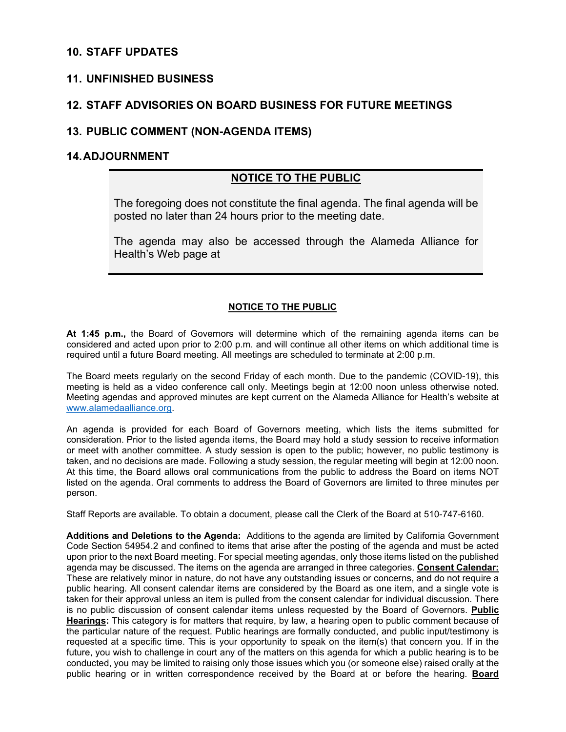## **10. STAFF UPDATES**

## **11. UNFINISHED BUSINESS**

## **12. STAFF ADVISORIES ON BOARD BUSINESS FOR FUTURE MEETINGS**

## **13. PUBLIC COMMENT (NON-AGENDA ITEMS)**

## **14.ADJOURNMENT**

## **NOTICE TO THE PUBLIC**

The foregoing does not constitute the final agenda. The final agenda will be posted no later than 24 hours prior to the meeting date.

The agenda may also be accessed through the Alameda Alliance for Health's Web page at

#### **NOTICE TO THE PUBLIC**

**At 1:45 p.m.,** the Board of Governors will determine which of the remaining agenda items can be considered and acted upon prior to 2:00 p.m. and will continue all other items on which additional time is required until a future Board meeting. All meetings are scheduled to terminate at 2:00 p.m.

The Board meets regularly on the second Friday of each month. Due to the pandemic (COVID-19), this meeting is held as a video conference call only. Meetings begin at 12:00 noon unless otherwise noted. Meeting agendas and approved minutes are kept current on the Alameda Alliance for Health's website at [www.alamedaalliance.org.](http://www.alamedaalliance.org/)

An agenda is provided for each Board of Governors meeting, which lists the items submitted for consideration. Prior to the listed agenda items, the Board may hold a study session to receive information or meet with another committee. A study session is open to the public; however, no public testimony is taken, and no decisions are made. Following a study session, the regular meeting will begin at 12:00 noon. At this time, the Board allows oral communications from the public to address the Board on items NOT listed on the agenda. Oral comments to address the Board of Governors are limited to three minutes per person.

Staff Reports are available. To obtain a document, please call the Clerk of the Board at 510-747-6160.

**Additions and Deletions to the Agenda:** Additions to the agenda are limited by California Government Code Section 54954.2 and confined to items that arise after the posting of the agenda and must be acted upon prior to the next Board meeting. For special meeting agendas, only those items listed on the published agenda may be discussed. The items on the agenda are arranged in three categories. **Consent Calendar:** These are relatively minor in nature, do not have any outstanding issues or concerns, and do not require a public hearing. All consent calendar items are considered by the Board as one item, and a single vote is taken for their approval unless an item is pulled from the consent calendar for individual discussion. There is no public discussion of consent calendar items unless requested by the Board of Governors. **Public Hearings:** This category is for matters that require, by law, a hearing open to public comment because of the particular nature of the request. Public hearings are formally conducted, and public input/testimony is requested at a specific time. This is your opportunity to speak on the item(s) that concern you. If in the future, you wish to challenge in court any of the matters on this agenda for which a public hearing is to be conducted, you may be limited to raising only those issues which you (or someone else) raised orally at the public hearing or in written correspondence received by the Board at or before the hearing. **Board**